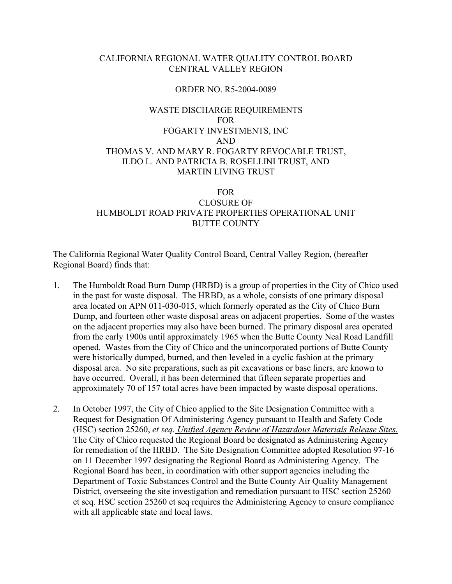# CALIFORNIA REGIONAL WATER QUALITY CONTROL BOARD CENTRAL VALLEY REGION

## ORDER NO. R5-2004-0089

# WASTE DISCHARGE REQUIREMENTS FOR FOGARTY INVESTMENTS, INC AND THOMAS V. AND MARY R. FOGARTY REVOCABLE TRUST, ILDO L. AND PATRICIA B. ROSELLINI TRUST, AND MARTIN LIVING TRUST

## FOR

# CLOSURE OF HUMBOLDT ROAD PRIVATE PROPERTIES OPERATIONAL UNIT BUTTE COUNTY

The California Regional Water Quality Control Board, Central Valley Region, (hereafter Regional Board) finds that:

- 1. The Humboldt Road Burn Dump (HRBD) is a group of properties in the City of Chico used in the past for waste disposal. The HRBD, as a whole, consists of one primary disposal area located on APN 011-030-015, which formerly operated as the City of Chico Burn Dump, and fourteen other waste disposal areas on adjacent properties. Some of the wastes on the adjacent properties may also have been burned. The primary disposal area operated from the early 1900s until approximately 1965 when the Butte County Neal Road Landfill opened. Wastes from the City of Chico and the unincorporated portions of Butte County were historically dumped, burned, and then leveled in a cyclic fashion at the primary disposal area. No site preparations, such as pit excavations or base liners, are known to have occurred. Overall, it has been determined that fifteen separate properties and approximately 70 of 157 total acres have been impacted by waste disposal operations.
- 2. In October 1997, the City of Chico applied to the Site Designation Committee with a Request for Designation Of Administering Agency pursuant to Health and Safety Code (HSC) section 25260, *et seq. Unified Agency Review of Hazardous Materials Release Sites.* The City of Chico requested the Regional Board be designated as Administering Agency for remediation of the HRBD. The Site Designation Committee adopted Resolution 97-16 on 11 December 1997 designating the Regional Board as Administering Agency. The Regional Board has been, in coordination with other support agencies including the Department of Toxic Substances Control and the Butte County Air Quality Management District, overseeing the site investigation and remediation pursuant to HSC section 25260 et seq. HSC section 25260 et seq requires the Administering Agency to ensure compliance with all applicable state and local laws.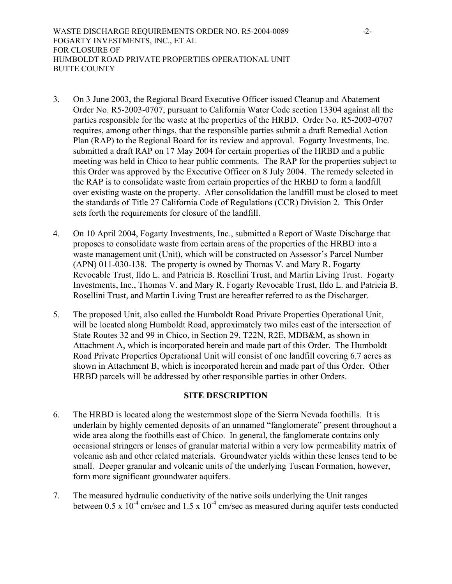- 3. On 3 June 2003, the Regional Board Executive Officer issued Cleanup and Abatement Order No. R5-2003-0707, pursuant to California Water Code section 13304 against all the parties responsible for the waste at the properties of the HRBD. Order No. R5-2003-0707 requires, among other things, that the responsible parties submit a draft Remedial Action Plan (RAP) to the Regional Board for its review and approval. Fogarty Investments, Inc. submitted a draft RAP on 17 May 2004 for certain properties of the HRBD and a public meeting was held in Chico to hear public comments. The RAP for the properties subject to this Order was approved by the Executive Officer on 8 July 2004. The remedy selected in the RAP is to consolidate waste from certain properties of the HRBD to form a landfill over existing waste on the property. After consolidation the landfill must be closed to meet the standards of Title 27 California Code of Regulations (CCR) Division 2. This Order sets forth the requirements for closure of the landfill.
- 4. On 10 April 2004, Fogarty Investments, Inc., submitted a Report of Waste Discharge that proposes to consolidate waste from certain areas of the properties of the HRBD into a waste management unit (Unit), which will be constructed on Assessor's Parcel Number (APN) 011-030-138. The property is owned by Thomas V. and Mary R. Fogarty Revocable Trust, Ildo L. and Patricia B. Rosellini Trust, and Martin Living Trust. Fogarty Investments, Inc., Thomas V. and Mary R. Fogarty Revocable Trust, Ildo L. and Patricia B. Rosellini Trust, and Martin Living Trust are hereafter referred to as the Discharger.
- 5. The proposed Unit, also called the Humboldt Road Private Properties Operational Unit, will be located along Humboldt Road, approximately two miles east of the intersection of State Routes 32 and 99 in Chico, in Section 29, T22N, R2E, MDB&M, as shown in Attachment A, which is incorporated herein and made part of this Order. The Humboldt Road Private Properties Operational Unit will consist of one landfill covering 6.7 acres as shown in Attachment B, which is incorporated herein and made part of this Order. Other HRBD parcels will be addressed by other responsible parties in other Orders.

# **SITE DESCRIPTION**

- 6. The HRBD is located along the westernmost slope of the Sierra Nevada foothills. It is underlain by highly cemented deposits of an unnamed "fanglomerate" present throughout a wide area along the foothills east of Chico. In general, the fanglomerate contains only occasional stringers or lenses of granular material within a very low permeability matrix of volcanic ash and other related materials. Groundwater yields within these lenses tend to be small. Deeper granular and volcanic units of the underlying Tuscan Formation, however, form more significant groundwater aquifers.
- 7. The measured hydraulic conductivity of the native soils underlying the Unit ranges between  $0.5 \times 10^{-4}$  cm/sec and  $1.5 \times 10^{-4}$  cm/sec as measured during aquifer tests conducted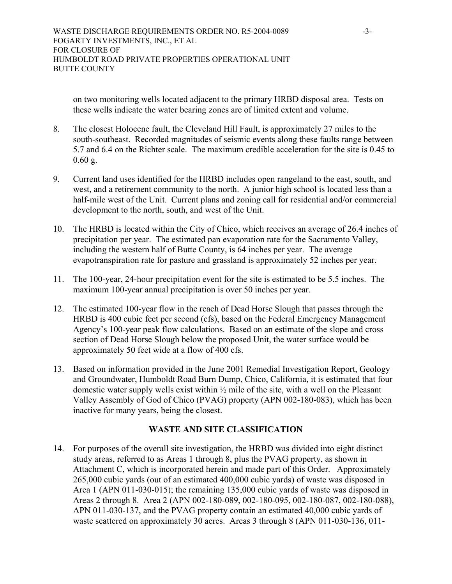on two monitoring wells located adjacent to the primary HRBD disposal area. Tests on these wells indicate the water bearing zones are of limited extent and volume.

- 8. The closest Holocene fault, the Cleveland Hill Fault, is approximately 27 miles to the south-southeast. Recorded magnitudes of seismic events along these faults range between 5.7 and 6.4 on the Richter scale. The maximum credible acceleration for the site is 0.45 to 0.60 g.
- 9. Current land uses identified for the HRBD includes open rangeland to the east, south, and west, and a retirement community to the north. A junior high school is located less than a half-mile west of the Unit. Current plans and zoning call for residential and/or commercial development to the north, south, and west of the Unit.
- 10. The HRBD is located within the City of Chico, which receives an average of 26.4 inches of precipitation per year. The estimated pan evaporation rate for the Sacramento Valley, including the western half of Butte County, is 64 inches per year. The average evapotranspiration rate for pasture and grassland is approximately 52 inches per year.
- 11. The 100-year, 24-hour precipitation event for the site is estimated to be 5.5 inches. The maximum 100-year annual precipitation is over 50 inches per year.
- 12. The estimated 100-year flow in the reach of Dead Horse Slough that passes through the HRBD is 400 cubic feet per second (cfs), based on the Federal Emergency Management Agency's 100-year peak flow calculations. Based on an estimate of the slope and cross section of Dead Horse Slough below the proposed Unit, the water surface would be approximately 50 feet wide at a flow of 400 cfs.
- 13. Based on information provided in the June 2001 Remedial Investigation Report, Geology and Groundwater, Humboldt Road Burn Dump, Chico, California, it is estimated that four domestic water supply wells exist within ½ mile of the site, with a well on the Pleasant Valley Assembly of God of Chico (PVAG) property (APN 002-180-083), which has been inactive for many years, being the closest.

# **WASTE AND SITE CLASSIFICATION**

14. For purposes of the overall site investigation, the HRBD was divided into eight distinct study areas, referred to as Areas 1 through 8, plus the PVAG property, as shown in Attachment C, which is incorporated herein and made part of this Order. Approximately 265,000 cubic yards (out of an estimated 400,000 cubic yards) of waste was disposed in Area 1 (APN 011-030-015); the remaining 135,000 cubic yards of waste was disposed in Areas 2 through 8. Area 2 (APN 002-180-089, 002-180-095, 002-180-087, 002-180-088), APN 011-030-137, and the PVAG property contain an estimated 40,000 cubic yards of waste scattered on approximately 30 acres. Areas 3 through 8 (APN 011-030-136, 011-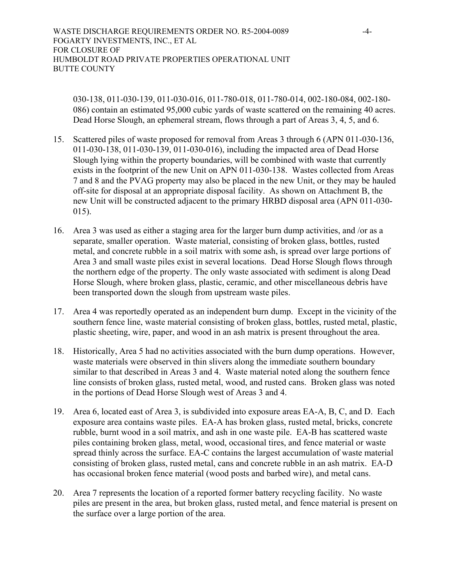030-138, 011-030-139, 011-030-016, 011-780-018, 011-780-014, 002-180-084, 002-180- 086) contain an estimated 95,000 cubic yards of waste scattered on the remaining 40 acres. Dead Horse Slough, an ephemeral stream, flows through a part of Areas 3, 4, 5, and 6.

- 15. Scattered piles of waste proposed for removal from Areas 3 through 6 (APN 011-030-136, 011-030-138, 011-030-139, 011-030-016), including the impacted area of Dead Horse Slough lying within the property boundaries, will be combined with waste that currently exists in the footprint of the new Unit on APN 011-030-138. Wastes collected from Areas 7 and 8 and the PVAG property may also be placed in the new Unit, or they may be hauled off-site for disposal at an appropriate disposal facility. As shown on Attachment B, the new Unit will be constructed adjacent to the primary HRBD disposal area (APN 011-030- 015).
- 16. Area 3 was used as either a staging area for the larger burn dump activities, and /or as a separate, smaller operation. Waste material, consisting of broken glass, bottles, rusted metal, and concrete rubble in a soil matrix with some ash, is spread over large portions of Area 3 and small waste piles exist in several locations. Dead Horse Slough flows through the northern edge of the property. The only waste associated with sediment is along Dead Horse Slough, where broken glass, plastic, ceramic, and other miscellaneous debris have been transported down the slough from upstream waste piles.
- 17. Area 4 was reportedly operated as an independent burn dump. Except in the vicinity of the southern fence line, waste material consisting of broken glass, bottles, rusted metal, plastic, plastic sheeting, wire, paper, and wood in an ash matrix is present throughout the area.
- 18. Historically, Area 5 had no activities associated with the burn dump operations. However, waste materials were observed in thin slivers along the immediate southern boundary similar to that described in Areas 3 and 4. Waste material noted along the southern fence line consists of broken glass, rusted metal, wood, and rusted cans. Broken glass was noted in the portions of Dead Horse Slough west of Areas 3 and 4.
- 19. Area 6, located east of Area 3, is subdivided into exposure areas EA-A, B, C, and D. Each exposure area contains waste piles. EA-A has broken glass, rusted metal, bricks, concrete rubble, burnt wood in a soil matrix, and ash in one waste pile. EA-B has scattered waste piles containing broken glass, metal, wood, occasional tires, and fence material or waste spread thinly across the surface. EA-C contains the largest accumulation of waste material consisting of broken glass, rusted metal, cans and concrete rubble in an ash matrix. EA-D has occasional broken fence material (wood posts and barbed wire), and metal cans.
- 20. Area 7 represents the location of a reported former battery recycling facility. No waste piles are present in the area, but broken glass, rusted metal, and fence material is present on the surface over a large portion of the area.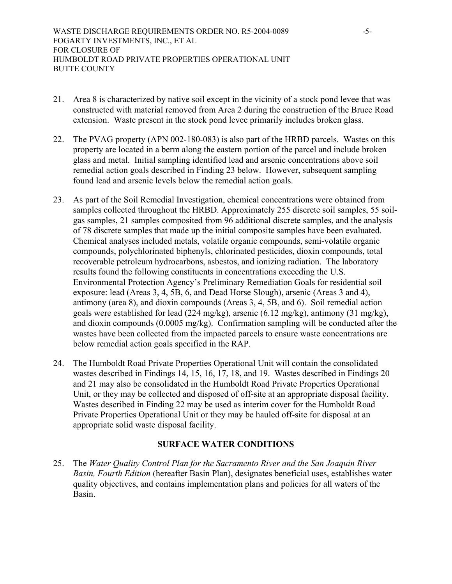- 21. Area 8 is characterized by native soil except in the vicinity of a stock pond levee that was constructed with material removed from Area 2 during the construction of the Bruce Road extension. Waste present in the stock pond levee primarily includes broken glass.
- 22. The PVAG property (APN 002-180-083) is also part of the HRBD parcels. Wastes on this property are located in a berm along the eastern portion of the parcel and include broken glass and metal. Initial sampling identified lead and arsenic concentrations above soil remedial action goals described in Finding 23 below. However, subsequent sampling found lead and arsenic levels below the remedial action goals.
- 23. As part of the Soil Remedial Investigation, chemical concentrations were obtained from samples collected throughout the HRBD. Approximately 255 discrete soil samples, 55 soilgas samples, 21 samples composited from 96 additional discrete samples, and the analysis of 78 discrete samples that made up the initial composite samples have been evaluated. Chemical analyses included metals, volatile organic compounds, semi-volatile organic compounds, polychlorinated biphenyls, chlorinated pesticides, dioxin compounds, total recoverable petroleum hydrocarbons, asbestos, and ionizing radiation. The laboratory results found the following constituents in concentrations exceeding the U.S. Environmental Protection Agency's Preliminary Remediation Goals for residential soil exposure: lead (Areas 3, 4, 5B, 6, and Dead Horse Slough), arsenic (Areas 3 and 4), antimony (area 8), and dioxin compounds (Areas 3, 4, 5B, and 6). Soil remedial action goals were established for lead (224 mg/kg), arsenic (6.12 mg/kg), antimony (31 mg/kg), and dioxin compounds (0.0005 mg/kg). Confirmation sampling will be conducted after the wastes have been collected from the impacted parcels to ensure waste concentrations are below remedial action goals specified in the RAP.
- 24. The Humboldt Road Private Properties Operational Unit will contain the consolidated wastes described in Findings 14, 15, 16, 17, 18, and 19. Wastes described in Findings 20 and 21 may also be consolidated in the Humboldt Road Private Properties Operational Unit, or they may be collected and disposed of off-site at an appropriate disposal facility. Wastes described in Finding 22 may be used as interim cover for the Humboldt Road Private Properties Operational Unit or they may be hauled off-site for disposal at an appropriate solid waste disposal facility.

# **SURFACE WATER CONDITIONS**

25. The *Water Quality Control Plan for the Sacramento River and the San Joaquin River Basin, Fourth Edition* (hereafter Basin Plan), designates beneficial uses, establishes water quality objectives, and contains implementation plans and policies for all waters of the Basin.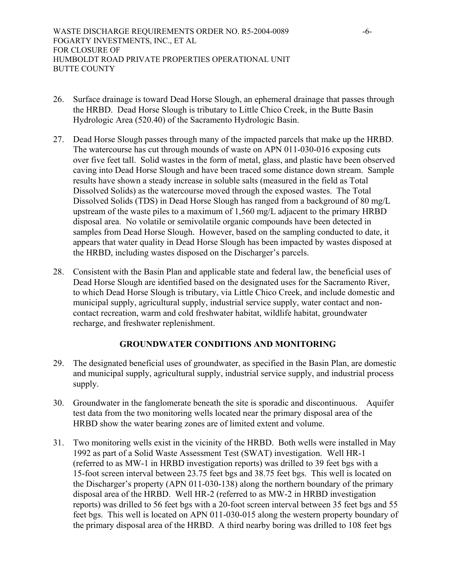- 26. Surface drainage is toward Dead Horse Slough, an ephemeral drainage that passes through the HRBD. Dead Horse Slough is tributary to Little Chico Creek, in the Butte Basin Hydrologic Area (520.40) of the Sacramento Hydrologic Basin.
- 27. Dead Horse Slough passes through many of the impacted parcels that make up the HRBD. The watercourse has cut through mounds of waste on APN 011-030-016 exposing cuts over five feet tall. Solid wastes in the form of metal, glass, and plastic have been observed caving into Dead Horse Slough and have been traced some distance down stream. Sample results have shown a steady increase in soluble salts (measured in the field as Total Dissolved Solids) as the watercourse moved through the exposed wastes. The Total Dissolved Solids (TDS) in Dead Horse Slough has ranged from a background of 80 mg/L upstream of the waste piles to a maximum of 1,560 mg/L adjacent to the primary HRBD disposal area. No volatile or semivolatile organic compounds have been detected in samples from Dead Horse Slough. However, based on the sampling conducted to date, it appears that water quality in Dead Horse Slough has been impacted by wastes disposed at the HRBD, including wastes disposed on the Discharger's parcels.
- 28. Consistent with the Basin Plan and applicable state and federal law, the beneficial uses of Dead Horse Slough are identified based on the designated uses for the Sacramento River, to which Dead Horse Slough is tributary, via Little Chico Creek, and include domestic and municipal supply, agricultural supply, industrial service supply, water contact and noncontact recreation, warm and cold freshwater habitat, wildlife habitat, groundwater recharge, and freshwater replenishment.

# **GROUNDWATER CONDITIONS AND MONITORING**

- 29. The designated beneficial uses of groundwater, as specified in the Basin Plan, are domestic and municipal supply, agricultural supply, industrial service supply, and industrial process supply.
- 30. Groundwater in the fanglomerate beneath the site is sporadic and discontinuous. Aquifer test data from the two monitoring wells located near the primary disposal area of the HRBD show the water bearing zones are of limited extent and volume.
- 31. Two monitoring wells exist in the vicinity of the HRBD. Both wells were installed in May 1992 as part of a Solid Waste Assessment Test (SWAT) investigation. Well HR-1 (referred to as MW-1 in HRBD investigation reports) was drilled to 39 feet bgs with a 15-foot screen interval between 23.75 feet bgs and 38.75 feet bgs. This well is located on the Discharger's property (APN 011-030-138) along the northern boundary of the primary disposal area of the HRBD. Well HR-2 (referred to as MW-2 in HRBD investigation reports) was drilled to 56 feet bgs with a 20-foot screen interval between 35 feet bgs and 55 feet bgs. This well is located on APN 011-030-015 along the western property boundary of the primary disposal area of the HRBD. A third nearby boring was drilled to 108 feet bgs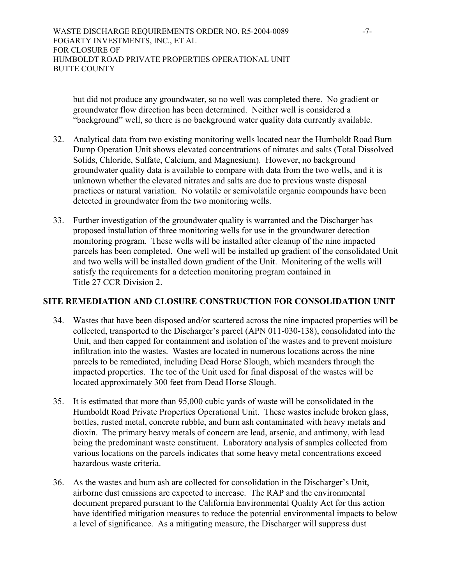but did not produce any groundwater, so no well was completed there. No gradient or groundwater flow direction has been determined. Neither well is considered a "background" well, so there is no background water quality data currently available.

- 32. Analytical data from two existing monitoring wells located near the Humboldt Road Burn Dump Operation Unit shows elevated concentrations of nitrates and salts (Total Dissolved Solids, Chloride, Sulfate, Calcium, and Magnesium). However, no background groundwater quality data is available to compare with data from the two wells, and it is unknown whether the elevated nitrates and salts are due to previous waste disposal practices or natural variation. No volatile or semivolatile organic compounds have been detected in groundwater from the two monitoring wells.
- 33. Further investigation of the groundwater quality is warranted and the Discharger has proposed installation of three monitoring wells for use in the groundwater detection monitoring program. These wells will be installed after cleanup of the nine impacted parcels has been completed. One well will be installed up gradient of the consolidated Unit and two wells will be installed down gradient of the Unit. Monitoring of the wells will satisfy the requirements for a detection monitoring program contained in Title 27 CCR Division 2.

# **SITE REMEDIATION AND CLOSURE CONSTRUCTION FOR CONSOLIDATION UNIT**

- 34. Wastes that have been disposed and/or scattered across the nine impacted properties will be collected, transported to the Discharger's parcel (APN 011-030-138), consolidated into the Unit, and then capped for containment and isolation of the wastes and to prevent moisture infiltration into the wastes. Wastes are located in numerous locations across the nine parcels to be remediated, including Dead Horse Slough, which meanders through the impacted properties. The toe of the Unit used for final disposal of the wastes will be located approximately 300 feet from Dead Horse Slough.
- 35. It is estimated that more than 95,000 cubic yards of waste will be consolidated in the Humboldt Road Private Properties Operational Unit. These wastes include broken glass, bottles, rusted metal, concrete rubble, and burn ash contaminated with heavy metals and dioxin. The primary heavy metals of concern are lead, arsenic, and antimony, with lead being the predominant waste constituent. Laboratory analysis of samples collected from various locations on the parcels indicates that some heavy metal concentrations exceed hazardous waste criteria.
- 36. As the wastes and burn ash are collected for consolidation in the Discharger's Unit, airborne dust emissions are expected to increase. The RAP and the environmental document prepared pursuant to the California Environmental Quality Act for this action have identified mitigation measures to reduce the potential environmental impacts to below a level of significance. As a mitigating measure, the Discharger will suppress dust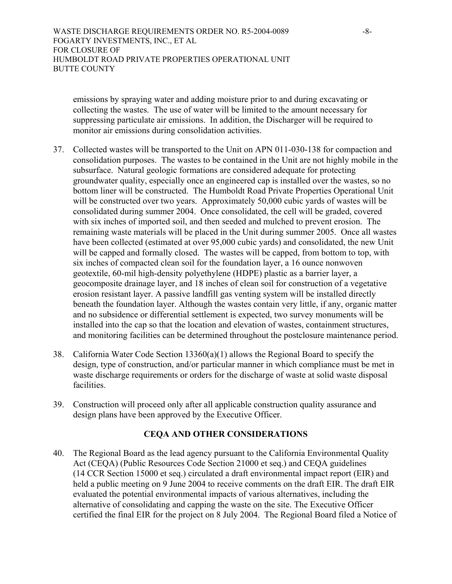WASTE DISCHARGE REQUIREMENTS ORDER NO. R5-2004-0089 -8-FOGARTY INVESTMENTS, INC., ET AL FOR CLOSURE OF HUMBOLDT ROAD PRIVATE PROPERTIES OPERATIONAL UNIT BUTTE COUNTY

emissions by spraying water and adding moisture prior to and during excavating or collecting the wastes. The use of water will be limited to the amount necessary for suppressing particulate air emissions. In addition, the Discharger will be required to monitor air emissions during consolidation activities.

- 37. Collected wastes will be transported to the Unit on APN 011-030-138 for compaction and consolidation purposes. The wastes to be contained in the Unit are not highly mobile in the subsurface. Natural geologic formations are considered adequate for protecting groundwater quality, especially once an engineered cap is installed over the wastes, so no bottom liner will be constructed. The Humboldt Road Private Properties Operational Unit will be constructed over two years. Approximately 50,000 cubic yards of wastes will be consolidated during summer 2004. Once consolidated, the cell will be graded, covered with six inches of imported soil, and then seeded and mulched to prevent erosion. The remaining waste materials will be placed in the Unit during summer 2005. Once all wastes have been collected (estimated at over 95,000 cubic yards) and consolidated, the new Unit will be capped and formally closed. The wastes will be capped, from bottom to top, with six inches of compacted clean soil for the foundation layer, a 16 ounce nonwoven geotextile, 60-mil high-density polyethylene (HDPE) plastic as a barrier layer, a geocomposite drainage layer, and 18 inches of clean soil for construction of a vegetative erosion resistant layer. A passive landfill gas venting system will be installed directly beneath the foundation layer. Although the wastes contain very little, if any, organic matter and no subsidence or differential settlement is expected, two survey monuments will be installed into the cap so that the location and elevation of wastes, containment structures, and monitoring facilities can be determined throughout the postclosure maintenance period.
- 38. California Water Code Section 13360(a)(1) allows the Regional Board to specify the design, type of construction, and/or particular manner in which compliance must be met in waste discharge requirements or orders for the discharge of waste at solid waste disposal facilities.
- 39. Construction will proceed only after all applicable construction quality assurance and design plans have been approved by the Executive Officer.

# **CEQA AND OTHER CONSIDERATIONS**

40. The Regional Board as the lead agency pursuant to the California Environmental Quality Act (CEQA) (Public Resources Code Section 21000 et seq.) and CEQA guidelines (14 CCR Section 15000 et seq.) circulated a draft environmental impact report (EIR) and held a public meeting on 9 June 2004 to receive comments on the draft EIR. The draft EIR evaluated the potential environmental impacts of various alternatives, including the alternative of consolidating and capping the waste on the site. The Executive Officer certified the final EIR for the project on 8 July 2004. The Regional Board filed a Notice of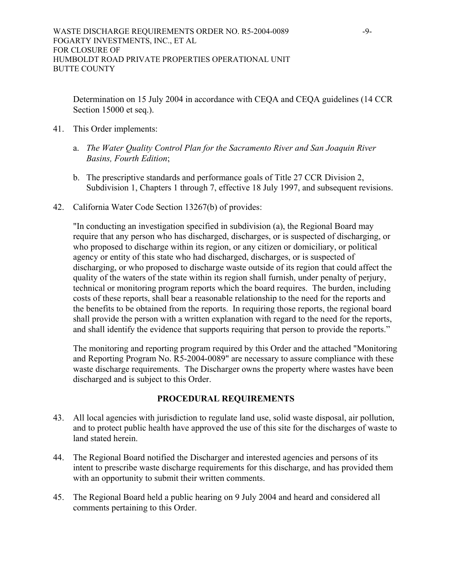Determination on 15 July 2004 in accordance with CEQA and CEQA guidelines (14 CCR Section 15000 et seq.).

- 41. This Order implements:
	- a. *The Water Quality Control Plan for the Sacramento River and San Joaquin River Basins, Fourth Edition*;
	- b. The prescriptive standards and performance goals of Title 27 CCR Division 2, Subdivision 1, Chapters 1 through 7, effective 18 July 1997, and subsequent revisions.
- 42. California Water Code Section 13267(b) of provides:

"In conducting an investigation specified in subdivision (a), the Regional Board may require that any person who has discharged, discharges, or is suspected of discharging, or who proposed to discharge within its region, or any citizen or domiciliary, or political agency or entity of this state who had discharged, discharges, or is suspected of discharging, or who proposed to discharge waste outside of its region that could affect the quality of the waters of the state within its region shall furnish, under penalty of perjury, technical or monitoring program reports which the board requires. The burden, including costs of these reports, shall bear a reasonable relationship to the need for the reports and the benefits to be obtained from the reports. In requiring those reports, the regional board shall provide the person with a written explanation with regard to the need for the reports, and shall identify the evidence that supports requiring that person to provide the reports."

The monitoring and reporting program required by this Order and the attached "Monitoring and Reporting Program No. R5-2004-0089" are necessary to assure compliance with these waste discharge requirements. The Discharger owns the property where wastes have been discharged and is subject to this Order.

# **PROCEDURAL REQUIREMENTS**

- 43. All local agencies with jurisdiction to regulate land use, solid waste disposal, air pollution, and to protect public health have approved the use of this site for the discharges of waste to land stated herein.
- 44. The Regional Board notified the Discharger and interested agencies and persons of its intent to prescribe waste discharge requirements for this discharge, and has provided them with an opportunity to submit their written comments.
- 45. The Regional Board held a public hearing on 9 July 2004 and heard and considered all comments pertaining to this Order.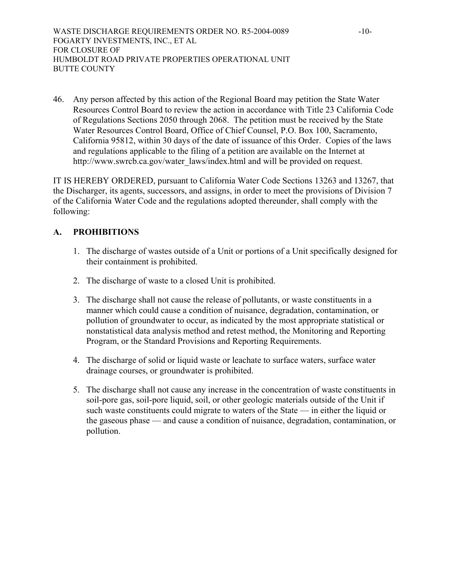46. Any person affected by this action of the Regional Board may petition the State Water Resources Control Board to review the action in accordance with Title 23 California Code of Regulations Sections 2050 through 2068. The petition must be received by the State Water Resources Control Board, Office of Chief Counsel, P.O. Box 100, Sacramento, California 95812, within 30 days of the date of issuance of this Order. Copies of the laws and regulations applicable to the filing of a petition are available on the Internet at http://www.swrcb.ca.gov/water\_laws/index.html and will be provided on request.

IT IS HEREBY ORDERED, pursuant to California Water Code Sections 13263 and 13267, that the Discharger, its agents, successors, and assigns, in order to meet the provisions of Division 7 of the California Water Code and the regulations adopted thereunder, shall comply with the following:

# **A. PROHIBITIONS**

- 1. The discharge of wastes outside of a Unit or portions of a Unit specifically designed for their containment is prohibited.
- 2. The discharge of waste to a closed Unit is prohibited.
- 3. The discharge shall not cause the release of pollutants, or waste constituents in a manner which could cause a condition of nuisance, degradation, contamination, or pollution of groundwater to occur, as indicated by the most appropriate statistical or nonstatistical data analysis method and retest method, the Monitoring and Reporting Program, or the Standard Provisions and Reporting Requirements.
- 4. The discharge of solid or liquid waste or leachate to surface waters, surface water drainage courses, or groundwater is prohibited.
- 5. The discharge shall not cause any increase in the concentration of waste constituents in soil-pore gas, soil-pore liquid, soil, or other geologic materials outside of the Unit if such waste constituents could migrate to waters of the State — in either the liquid or the gaseous phase — and cause a condition of nuisance, degradation, contamination, or pollution.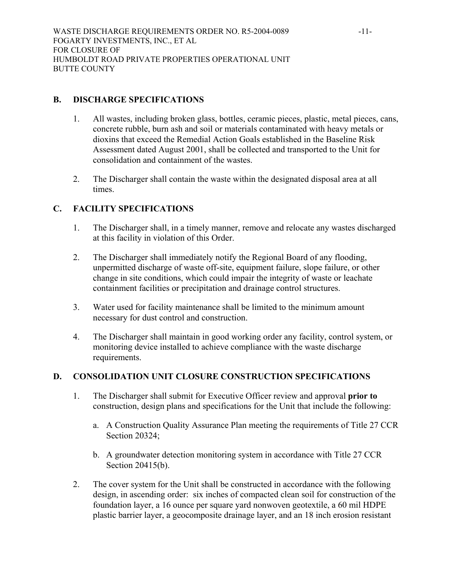# **B. DISCHARGE SPECIFICATIONS**

- 1. All wastes, including broken glass, bottles, ceramic pieces, plastic, metal pieces, cans, concrete rubble, burn ash and soil or materials contaminated with heavy metals or dioxins that exceed the Remedial Action Goals established in the Baseline Risk Assessment dated August 2001, shall be collected and transported to the Unit for consolidation and containment of the wastes.
- 2. The Discharger shall contain the waste within the designated disposal area at all times.

# **C. FACILITY SPECIFICATIONS**

- 1. The Discharger shall, in a timely manner, remove and relocate any wastes discharged at this facility in violation of this Order.
- 2. The Discharger shall immediately notify the Regional Board of any flooding, unpermitted discharge of waste off-site, equipment failure, slope failure, or other change in site conditions, which could impair the integrity of waste or leachate containment facilities or precipitation and drainage control structures.
- 3. Water used for facility maintenance shall be limited to the minimum amount necessary for dust control and construction.
- 4. The Discharger shall maintain in good working order any facility, control system, or monitoring device installed to achieve compliance with the waste discharge requirements.

# **D. CONSOLIDATION UNIT CLOSURE CONSTRUCTION SPECIFICATIONS**

- 1. The Discharger shall submit for Executive Officer review and approval **prior to** construction, design plans and specifications for the Unit that include the following:
	- a. A Construction Quality Assurance Plan meeting the requirements of Title 27 CCR Section 20324;
	- b. A groundwater detection monitoring system in accordance with Title 27 CCR Section 20415(b).
- 2. The cover system for the Unit shall be constructed in accordance with the following design, in ascending order: six inches of compacted clean soil for construction of the foundation layer, a 16 ounce per square yard nonwoven geotextile, a 60 mil HDPE plastic barrier layer, a geocomposite drainage layer, and an 18 inch erosion resistant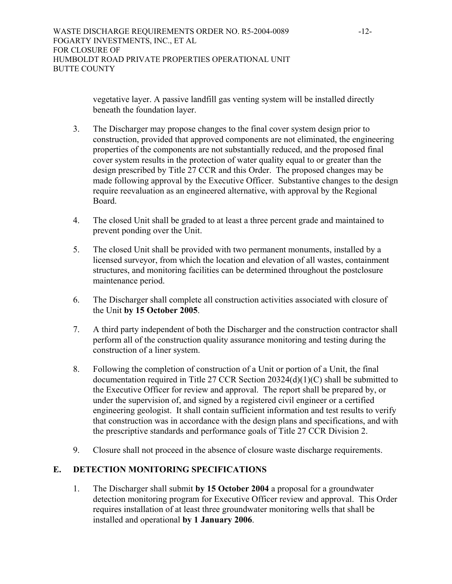vegetative layer. A passive landfill gas venting system will be installed directly beneath the foundation layer.

- 3. The Discharger may propose changes to the final cover system design prior to construction, provided that approved components are not eliminated, the engineering properties of the components are not substantially reduced, and the proposed final cover system results in the protection of water quality equal to or greater than the design prescribed by Title 27 CCR and this Order. The proposed changes may be made following approval by the Executive Officer. Substantive changes to the design require reevaluation as an engineered alternative, with approval by the Regional **Board**
- 4. The closed Unit shall be graded to at least a three percent grade and maintained to prevent ponding over the Unit.
- 5. The closed Unit shall be provided with two permanent monuments, installed by a licensed surveyor, from which the location and elevation of all wastes, containment structures, and monitoring facilities can be determined throughout the postclosure maintenance period.
- 6. The Discharger shall complete all construction activities associated with closure of the Unit **by 15 October 2005**.
- 7. A third party independent of both the Discharger and the construction contractor shall perform all of the construction quality assurance monitoring and testing during the construction of a liner system.
- 8. Following the completion of construction of a Unit or portion of a Unit, the final documentation required in Title 27 CCR Section 20324(d)(1)(C) shall be submitted to the Executive Officer for review and approval. The report shall be prepared by, or under the supervision of, and signed by a registered civil engineer or a certified engineering geologist. It shall contain sufficient information and test results to verify that construction was in accordance with the design plans and specifications, and with the prescriptive standards and performance goals of Title 27 CCR Division 2.
- 9. Closure shall not proceed in the absence of closure waste discharge requirements.

# **E. DETECTION MONITORING SPECIFICATIONS**

1. The Discharger shall submit **by 15 October 2004** a proposal for a groundwater detection monitoring program for Executive Officer review and approval. This Order requires installation of at least three groundwater monitoring wells that shall be installed and operational **by 1 January 2006**.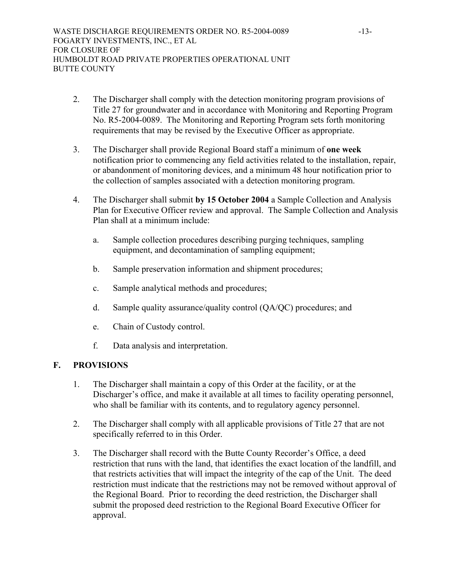- 2. The Discharger shall comply with the detection monitoring program provisions of Title 27 for groundwater and in accordance with Monitoring and Reporting Program No. R5-2004-0089. The Monitoring and Reporting Program sets forth monitoring requirements that may be revised by the Executive Officer as appropriate.
- 3. The Discharger shall provide Regional Board staff a minimum of **one week** notification prior to commencing any field activities related to the installation, repair, or abandonment of monitoring devices, and a minimum 48 hour notification prior to the collection of samples associated with a detection monitoring program.
- 4. The Discharger shall submit **by 15 October 2004** a Sample Collection and Analysis Plan for Executive Officer review and approval. The Sample Collection and Analysis Plan shall at a minimum include:
	- a. Sample collection procedures describing purging techniques, sampling equipment, and decontamination of sampling equipment;
	- b. Sample preservation information and shipment procedures;
	- c. Sample analytical methods and procedures;
	- d. Sample quality assurance/quality control (QA/QC) procedures; and
	- e. Chain of Custody control.
	- f. Data analysis and interpretation.

# **F. PROVISIONS**

- 1. The Discharger shall maintain a copy of this Order at the facility, or at the Discharger's office, and make it available at all times to facility operating personnel, who shall be familiar with its contents, and to regulatory agency personnel.
- 2. The Discharger shall comply with all applicable provisions of Title 27 that are not specifically referred to in this Order.
- 3. The Discharger shall record with the Butte County Recorder's Office, a deed restriction that runs with the land, that identifies the exact location of the landfill, and that restricts activities that will impact the integrity of the cap of the Unit. The deed restriction must indicate that the restrictions may not be removed without approval of the Regional Board. Prior to recording the deed restriction, the Discharger shall submit the proposed deed restriction to the Regional Board Executive Officer for approval.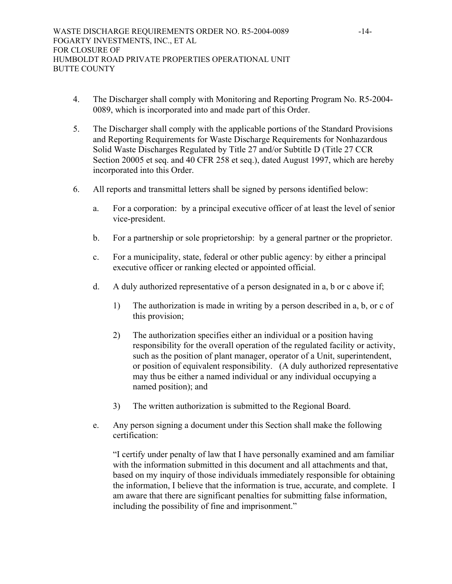- 4. The Discharger shall comply with Monitoring and Reporting Program No. R5-2004- 0089, which is incorporated into and made part of this Order.
- 5. The Discharger shall comply with the applicable portions of the Standard Provisions and Reporting Requirements for Waste Discharge Requirements for Nonhazardous Solid Waste Discharges Regulated by Title 27 and/or Subtitle D (Title 27 CCR Section 20005 et seq. and 40 CFR 258 et seq.), dated August 1997, which are hereby incorporated into this Order.
- 6. All reports and transmittal letters shall be signed by persons identified below:
	- a. For a corporation: by a principal executive officer of at least the level of senior vice-president.
	- b. For a partnership or sole proprietorship: by a general partner or the proprietor.
	- c. For a municipality, state, federal or other public agency: by either a principal executive officer or ranking elected or appointed official.
	- d. A duly authorized representative of a person designated in a, b or c above if;
		- 1) The authorization is made in writing by a person described in a, b, or c of this provision;
		- 2) The authorization specifies either an individual or a position having responsibility for the overall operation of the regulated facility or activity, such as the position of plant manager, operator of a Unit, superintendent, or position of equivalent responsibility. (A duly authorized representative may thus be either a named individual or any individual occupying a named position); and
		- 3) The written authorization is submitted to the Regional Board.
	- e. Any person signing a document under this Section shall make the following certification:

"I certify under penalty of law that I have personally examined and am familiar with the information submitted in this document and all attachments and that, based on my inquiry of those individuals immediately responsible for obtaining the information, I believe that the information is true, accurate, and complete. I am aware that there are significant penalties for submitting false information, including the possibility of fine and imprisonment."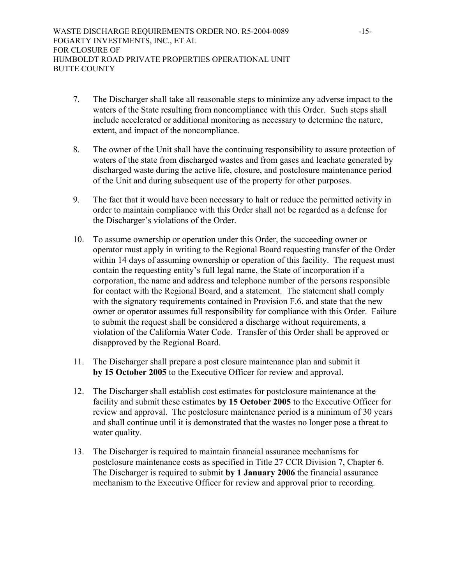- 7. The Discharger shall take all reasonable steps to minimize any adverse impact to the waters of the State resulting from noncompliance with this Order. Such steps shall include accelerated or additional monitoring as necessary to determine the nature, extent, and impact of the noncompliance.
- 8. The owner of the Unit shall have the continuing responsibility to assure protection of waters of the state from discharged wastes and from gases and leachate generated by discharged waste during the active life, closure, and postclosure maintenance period of the Unit and during subsequent use of the property for other purposes.
- 9. The fact that it would have been necessary to halt or reduce the permitted activity in order to maintain compliance with this Order shall not be regarded as a defense for the Discharger's violations of the Order.
- 10. To assume ownership or operation under this Order, the succeeding owner or operator must apply in writing to the Regional Board requesting transfer of the Order within 14 days of assuming ownership or operation of this facility. The request must contain the requesting entity's full legal name, the State of incorporation if a corporation, the name and address and telephone number of the persons responsible for contact with the Regional Board, and a statement. The statement shall comply with the signatory requirements contained in Provision F.6. and state that the new owner or operator assumes full responsibility for compliance with this Order. Failure to submit the request shall be considered a discharge without requirements, a violation of the California Water Code. Transfer of this Order shall be approved or disapproved by the Regional Board.
- 11. The Discharger shall prepare a post closure maintenance plan and submit it **by 15 October 2005** to the Executive Officer for review and approval.
- 12. The Discharger shall establish cost estimates for postclosure maintenance at the facility and submit these estimates **by 15 October 2005** to the Executive Officer for review and approval. The postclosure maintenance period is a minimum of 30 years and shall continue until it is demonstrated that the wastes no longer pose a threat to water quality.
- 13. The Discharger is required to maintain financial assurance mechanisms for postclosure maintenance costs as specified in Title 27 CCR Division 7, Chapter 6. The Discharger is required to submit **by 1 January 2006** the financial assurance mechanism to the Executive Officer for review and approval prior to recording.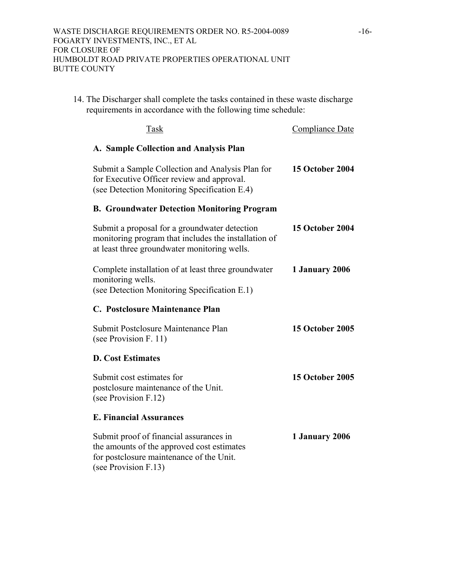14. The Discharger shall complete the tasks contained in these waste discharge requirements in accordance with the following time schedule:

| Task                                                                                                                                                      | <b>Compliance Date</b> |
|-----------------------------------------------------------------------------------------------------------------------------------------------------------|------------------------|
| A. Sample Collection and Analysis Plan                                                                                                                    |                        |
| Submit a Sample Collection and Analysis Plan for<br>for Executive Officer review and approval.<br>(see Detection Monitoring Specification E.4)            | <b>15 October 2004</b> |
| <b>B. Groundwater Detection Monitoring Program</b>                                                                                                        |                        |
| Submit a proposal for a groundwater detection<br>monitoring program that includes the installation of<br>at least three groundwater monitoring wells.     | <b>15 October 2004</b> |
| Complete installation of at least three groundwater<br>monitoring wells.<br>(see Detection Monitoring Specification E.1)                                  | 1 January 2006         |
| C. Postclosure Maintenance Plan                                                                                                                           |                        |
| Submit Postclosure Maintenance Plan<br>(see Provision F. 11)                                                                                              | <b>15 October 2005</b> |
| <b>D. Cost Estimates</b>                                                                                                                                  |                        |
| Submit cost estimates for<br>postclosure maintenance of the Unit.<br>(see Provision F.12)                                                                 | <b>15 October 2005</b> |
| <b>E. Financial Assurances</b>                                                                                                                            |                        |
| Submit proof of financial assurances in<br>the amounts of the approved cost estimates<br>for postclosure maintenance of the Unit.<br>(see Provision F.13) | 1 January 2006         |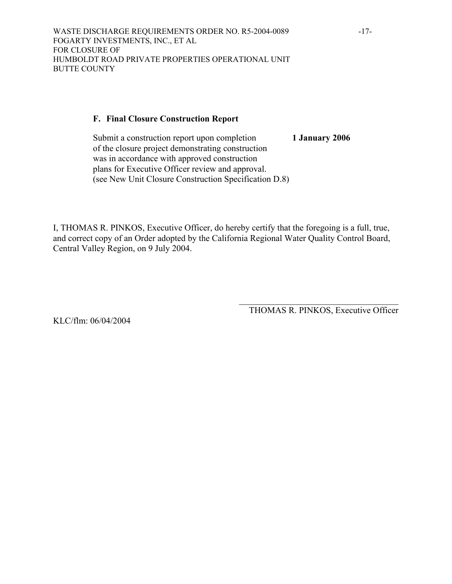# **F. Final Closure Construction Report**

Submit a construction report upon completion **1 January 2006** of the closure project demonstrating construction was in accordance with approved construction plans for Executive Officer review and approval. (see New Unit Closure Construction Specification D.8)

I, THOMAS R. PINKOS, Executive Officer, do hereby certify that the foregoing is a full, true, and correct copy of an Order adopted by the California Regional Water Quality Control Board, Central Valley Region, on 9 July 2004.

> $\mathcal{L}_\text{max}$ THOMAS R. PINKOS, Executive Officer

KLC/flm: 06/04/2004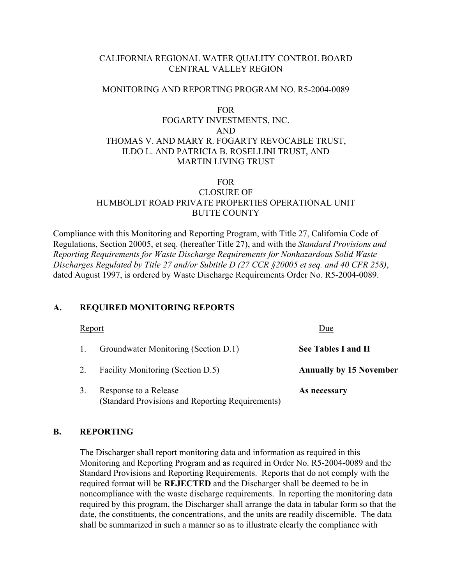# CALIFORNIA REGIONAL WATER QUALITY CONTROL BOARD CENTRAL VALLEY REGION

# MONITORING AND REPORTING PROGRAM NO. R5-2004-0089

# FOR FOGARTY INVESTMENTS, INC. AND THOMAS V. AND MARY R. FOGARTY REVOCABLE TRUST, ILDO L. AND PATRICIA B. ROSELLINI TRUST, AND MARTIN LIVING TRUST

# FOR CLOSURE OF HUMBOLDT ROAD PRIVATE PROPERTIES OPERATIONAL UNIT BUTTE COUNTY

Compliance with this Monitoring and Reporting Program, with Title 27, California Code of Regulations, Section 20005, et seq. (hereafter Title 27), and with the *Standard Provisions and Reporting Requirements for Waste Discharge Requirements for Nonhazardous Solid Waste Discharges Regulated by Title 27 and/or Subtitle D (27 CCR §20005 et seq. and 40 CFR 258)*, dated August 1997, is ordered by Waste Discharge Requirements Order No. R5-2004-0089.

# **A. REQUIRED MONITORING REPORTS**

| Report |                                                                           | Due                            |
|--------|---------------------------------------------------------------------------|--------------------------------|
|        | Groundwater Monitoring (Section D.1)                                      | See Tables I and II            |
|        | Facility Monitoring (Section D.5)                                         | <b>Annually by 15 November</b> |
|        | Response to a Release<br>(Standard Provisions and Reporting Requirements) | As necessary                   |

# **B. REPORTING**

 The Discharger shall report monitoring data and information as required in this Monitoring and Reporting Program and as required in Order No. R5-2004-0089 and the Standard Provisions and Reporting Requirements. Reports that do not comply with the required format will be **REJECTED** and the Discharger shall be deemed to be in noncompliance with the waste discharge requirements. In reporting the monitoring data required by this program, the Discharger shall arrange the data in tabular form so that the date, the constituents, the concentrations, and the units are readily discernible. The data shall be summarized in such a manner so as to illustrate clearly the compliance with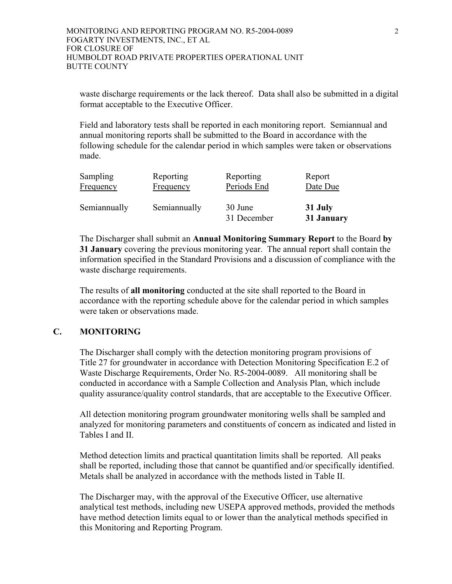waste discharge requirements or the lack thereof. Data shall also be submitted in a digital format acceptable to the Executive Officer.

 Field and laboratory tests shall be reported in each monitoring report. Semiannual and annual monitoring reports shall be submitted to the Board in accordance with the following schedule for the calendar period in which samples were taken or observations made.

| <b>Sampling</b> | Reporting    | Reporting              | Report   |
|-----------------|--------------|------------------------|----------|
| Frequency       | Frequency    | Periods End            | Date Due |
| Semiannually    | Semiannually | 30 June<br>31 December |          |

 The Discharger shall submit an **Annual Monitoring Summary Report** to the Board **by 31 January** covering the previous monitoring year. The annual report shall contain the information specified in the Standard Provisions and a discussion of compliance with the waste discharge requirements.

 The results of **all monitoring** conducted at the site shall reported to the Board in accordance with the reporting schedule above for the calendar period in which samples were taken or observations made.

# **C. MONITORING**

The Discharger shall comply with the detection monitoring program provisions of Title 27 for groundwater in accordance with Detection Monitoring Specification E.2 of Waste Discharge Requirements, Order No. R5-2004-0089. All monitoring shall be conducted in accordance with a Sample Collection and Analysis Plan, which include quality assurance/quality control standards, that are acceptable to the Executive Officer.

All detection monitoring program groundwater monitoring wells shall be sampled and analyzed for monitoring parameters and constituents of concern as indicated and listed in Tables I and II.

Method detection limits and practical quantitation limits shall be reported. All peaks shall be reported, including those that cannot be quantified and/or specifically identified. Metals shall be analyzed in accordance with the methods listed in Table II.

The Discharger may, with the approval of the Executive Officer, use alternative analytical test methods, including new USEPA approved methods, provided the methods have method detection limits equal to or lower than the analytical methods specified in this Monitoring and Reporting Program.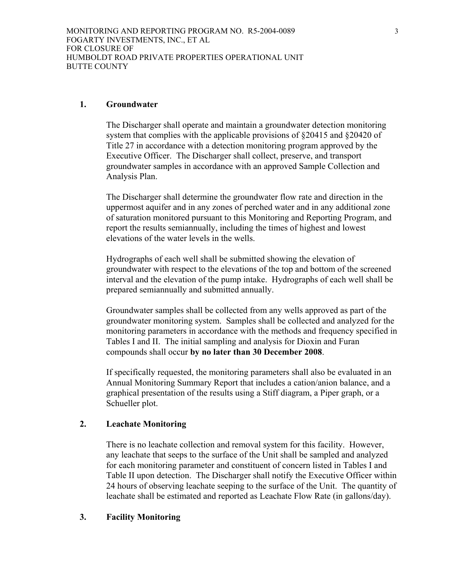# **1. Groundwater**

The Discharger shall operate and maintain a groundwater detection monitoring system that complies with the applicable provisions of §20415 and §20420 of Title 27 in accordance with a detection monitoring program approved by the Executive Officer. The Discharger shall collect, preserve, and transport groundwater samples in accordance with an approved Sample Collection and Analysis Plan.

The Discharger shall determine the groundwater flow rate and direction in the uppermost aquifer and in any zones of perched water and in any additional zone of saturation monitored pursuant to this Monitoring and Reporting Program, and report the results semiannually, including the times of highest and lowest elevations of the water levels in the wells.

Hydrographs of each well shall be submitted showing the elevation of groundwater with respect to the elevations of the top and bottom of the screened interval and the elevation of the pump intake. Hydrographs of each well shall be prepared semiannually and submitted annually.

Groundwater samples shall be collected from any wells approved as part of the groundwater monitoring system. Samples shall be collected and analyzed for the monitoring parameters in accordance with the methods and frequency specified in Tables I and II. The initial sampling and analysis for Dioxin and Furan compounds shall occur **by no later than 30 December 2008**.

If specifically requested, the monitoring parameters shall also be evaluated in an Annual Monitoring Summary Report that includes a cation/anion balance, and a graphical presentation of the results using a Stiff diagram, a Piper graph, or a Schueller plot.

# **2. Leachate Monitoring**

There is no leachate collection and removal system for this facility. However, any leachate that seeps to the surface of the Unit shall be sampled and analyzed for each monitoring parameter and constituent of concern listed in Tables I and Table II upon detection. The Discharger shall notify the Executive Officer within 24 hours of observing leachate seeping to the surface of the Unit. The quantity of leachate shall be estimated and reported as Leachate Flow Rate (in gallons/day).

# **3. Facility Monitoring**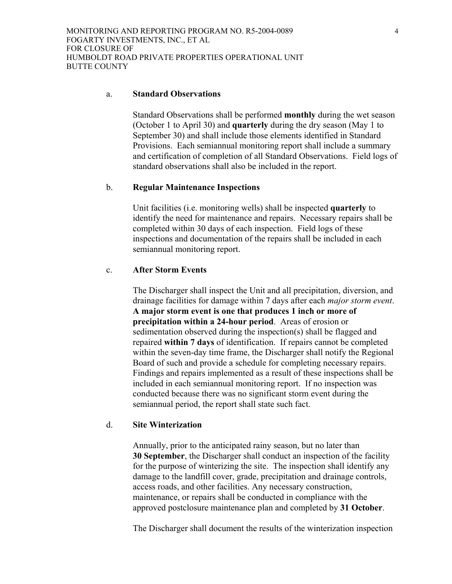#### a. **Standard Observations**

Standard Observations shall be performed **monthly** during the wet season (October 1 to April 30) and **quarterly** during the dry season (May 1 to September 30) and shall include those elements identified in Standard Provisions. Each semiannual monitoring report shall include a summary and certification of completion of all Standard Observations. Field logs of standard observations shall also be included in the report.

## b. **Regular Maintenance Inspections**

Unit facilities (i.e. monitoring wells) shall be inspected **quarterly** to identify the need for maintenance and repairs. Necessary repairs shall be completed within 30 days of each inspection. Field logs of these inspections and documentation of the repairs shall be included in each semiannual monitoring report.

## c. **After Storm Events**

The Discharger shall inspect the Unit and all precipitation, diversion, and drainage facilities for damage within 7 days after each *major storm event*. **A major storm event is one that produces 1 inch or more of precipitation within a 24-hour period**. Areas of erosion or sedimentation observed during the inspection(s) shall be flagged and repaired **within 7 days** of identification. If repairs cannot be completed within the seven-day time frame, the Discharger shall notify the Regional Board of such and provide a schedule for completing necessary repairs. Findings and repairs implemented as a result of these inspections shall be included in each semiannual monitoring report. If no inspection was conducted because there was no significant storm event during the semiannual period, the report shall state such fact.

## d. **Site Winterization**

Annually, prior to the anticipated rainy season, but no later than **30 September**, the Discharger shall conduct an inspection of the facility for the purpose of winterizing the site. The inspection shall identify any damage to the landfill cover, grade, precipitation and drainage controls, access roads, and other facilities. Any necessary construction, maintenance, or repairs shall be conducted in compliance with the approved postclosure maintenance plan and completed by **31 October**.

The Discharger shall document the results of the winterization inspection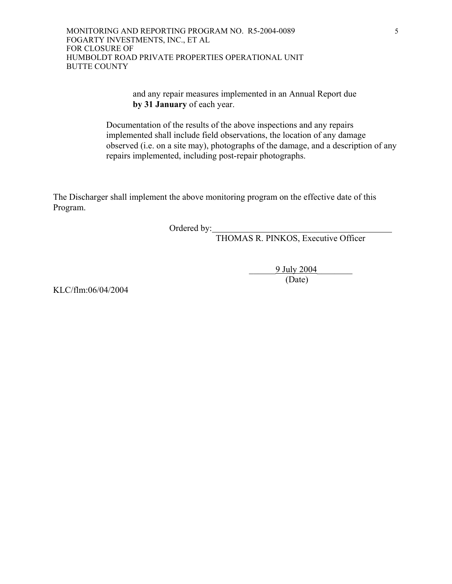MONITORING AND REPORTING PROGRAM NO. R5-2004-0089 FOGARTY INVESTMENTS, INC., ET AL FOR CLOSURE OF HUMBOLDT ROAD PRIVATE PROPERTIES OPERATIONAL UNIT BUTTE COUNTY

> and any repair measures implemented in an Annual Report due **by 31 January** of each year.

 Documentation of the results of the above inspections and any repairs implemented shall include field observations, the location of any damage observed (i.e. on a site may), photographs of the damage, and a description of any repairs implemented, including post-repair photographs.

The Discharger shall implement the above monitoring program on the effective date of this Program.

Ordered by:

THOMAS R. PINKOS, Executive Officer

 $\frac{9 \text{ July } 2004}{(\text{Date})}$ (Date)

KLC/flm:06/04/2004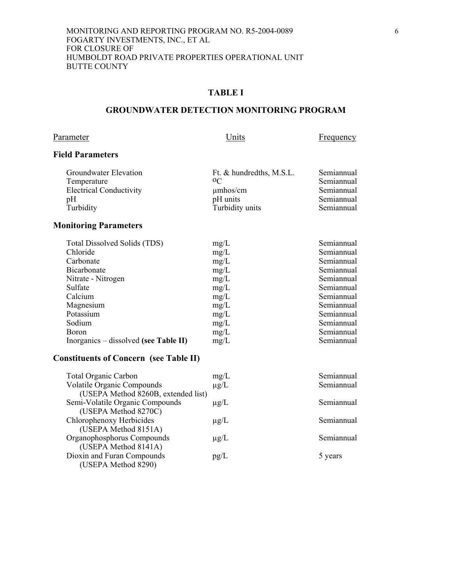# **GROUNDWATER DETECTION MONITORING PROGRAM**

# Parameter Units Erequency

# **Field Parameters**

| Groundwater Elevation          | Ft. & hundredths, M.S.L. | Semiannual |
|--------------------------------|--------------------------|------------|
| Temperature                    | $0\text{C}$              | Semiannual |
| <b>Electrical Conductivity</b> | $\mu$ mhos/cm            | Semiannual |
| pΗ                             | pH units                 | Semiannual |
| Turbidity                      | Turbidity units          | Semiannual |

# **Monitoring Parameters**

| Semiannual<br>Semiannual |
|--------------------------|
|                          |
|                          |
| Semiannual               |
| Semiannual               |
| Semiannual               |
| Semiannual               |
| Semiannual               |
| Semiannual               |
| Semiannual               |
| Semiannual               |
| Semiannual               |
| Semiannual               |
|                          |

# **Constituents of Concern (see Table II)**

| <b>Total Organic Carbon</b>         | mg/L      | Semiannual |
|-------------------------------------|-----------|------------|
| <b>Volatile Organic Compounds</b>   | $\mu$ g/L | Semiannual |
| (USEPA Method 8260B, extended list) |           |            |
| Semi-Volatile Organic Compounds     | $\mu$ g/L | Semiannual |
| (USEPA Method 8270C)                |           |            |
| Chlorophenoxy Herbicides            | $\mu$ g/L | Semiannual |
| (USEPA Method 8151A)                |           |            |
| Organophosphorus Compounds          | $\mu$ g/L | Semiannual |
| (USEPA Method 8141A)                |           |            |
| Dioxin and Furan Compounds          | pg/L      | 5 years    |
| (USEPA Method 8290)                 |           |            |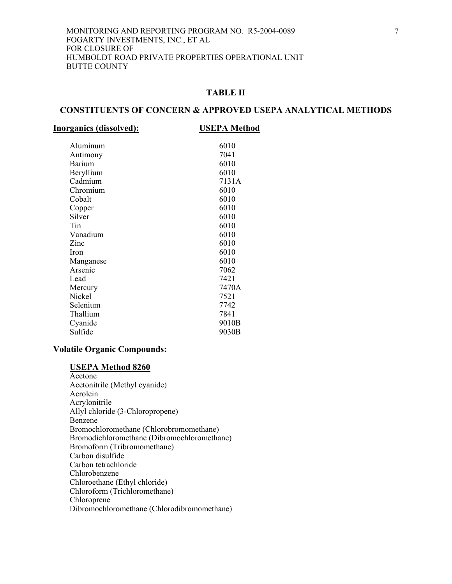# **CONSTITUENTS OF CONCERN & APPROVED USEPA ANALYTICAL METHODS**

| <b>Inorganics (dissolved):</b> | <b>USEPA Method</b> |
|--------------------------------|---------------------|
|                                |                     |

| Aluminum  | 6010  |
|-----------|-------|
| Antimony  | 7041  |
| Barium    | 6010  |
| Beryllium | 6010  |
| Cadmium   | 7131A |
| Chromium  | 6010  |
| Cobalt    | 6010  |
| Copper    | 6010  |
| Silver    | 6010  |
| Tin       | 6010  |
| Vanadium  | 6010  |
| Zinc      | 6010  |
| Iron      | 6010  |
| Manganese | 6010  |
| Arsenic   | 7062  |
| Lead      | 7421  |
| Mercury   | 7470A |
| Nickel    | 7521  |
| Selenium  | 7742  |
| Thallium  | 7841  |
|           |       |
| Cyanide   | 9010B |
| Sulfide   | 9030B |

## **Volatile Organic Compounds:**

**USEPA Method 8260** Acetone Acetonitrile (Methyl cyanide) Acrolein Acrylonitrile Allyl chloride (3-Chloropropene) Benzene Bromochloromethane (Chlorobromomethane) Bromodichloromethane (Dibromochloromethane) Bromoform (Tribromomethane) Carbon disulfide Carbon tetrachloride Chlorobenzene Chloroethane (Ethyl chloride) Chloroform (Trichloromethane) Chloroprene Dibromochloromethane (Chlorodibromomethane)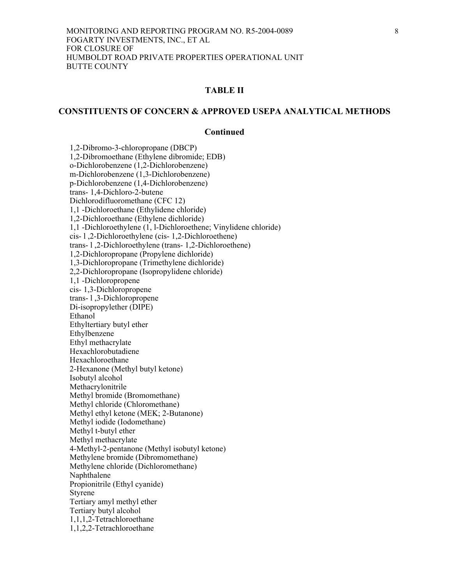## **CONSTITUENTS OF CONCERN & APPROVED USEPA ANALYTICAL METHODS**

#### **Continued**

 1,2-Dibromo-3-chloropropane (DBCP) 1,2-Dibromoethane (Ethylene dibromide; EDB) o-Dichlorobenzene (1,2-Dichlorobenzene) m-Dichlorobenzene (1,3-Dichlorobenzene) p-Dichlorobenzene (1,4-Dichlorobenzene) trans- 1,4-Dichloro-2-butene Dichlorodifluoromethane (CFC 12) 1,1 -Dichloroethane (Ethylidene chloride) 1,2-Dichloroethane (Ethylene dichloride) 1,1 -Dichloroethylene (1, l-Dichloroethene; Vinylidene chloride) cis- l ,2-Dichloroethylene (cis- 1,2-Dichloroethene) trans- l ,2-Dichloroethylene (trans- 1,2-Dichloroethene) 1,2-Dichloropropane (Propylene dichloride) 1,3-Dichloropropane (Trimethylene dichloride) 2,2-Dichloropropane (Isopropylidene chloride) 1,1 -Dichloropropene cis- 1,3-Dichloropropene trans- l ,3-Dichloropropene Di-isopropylether (DIPE) Ethanol Ethyltertiary butyl ether Ethylbenzene Ethyl methacrylate Hexachlorobutadiene Hexachloroethane 2-Hexanone (Methyl butyl ketone) Isobutyl alcohol Methacrylonitrile Methyl bromide (Bromomethane) Methyl chloride (Chloromethane) Methyl ethyl ketone (MEK; 2-Butanone) Methyl iodide (Iodomethane) Methyl t-butyl ether Methyl methacrylate 4-Methyl-2-pentanone (Methyl isobutyl ketone) Methylene bromide (Dibromomethane) Methylene chloride (Dichloromethane) Naphthalene Propionitrile (Ethyl cyanide) Styrene Tertiary amyl methyl ether Tertiary butyl alcohol 1,1,1,2-Tetrachloroethane 1,1,2,2-Tetrachloroethane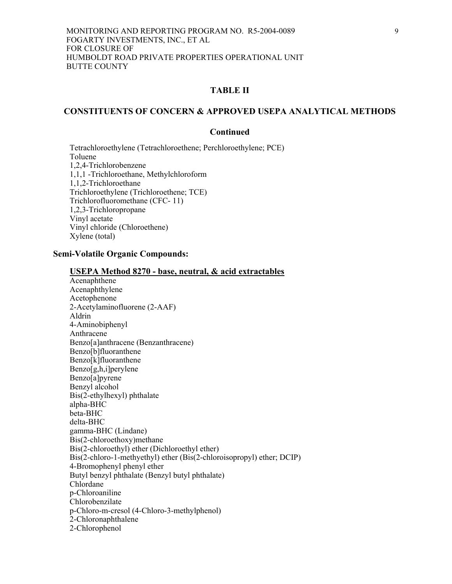## **CONSTITUENTS OF CONCERN & APPROVED USEPA ANALYTICAL METHODS**

## **Continued**

 Tetrachloroethylene (Tetrachloroethene; Perchloroethylene; PCE) Toluene 1,2,4-Trichlorobenzene 1,1,1 -Trichloroethane, Methylchloroform 1,1,2-Trichloroethane Trichloroethylene (Trichloroethene; TCE) Trichlorofluoromethane (CFC- 11) 1,2,3-Trichloropropane Vinyl acetate Vinyl chloride (Chloroethene) Xylene (total)

## **Semi-Volatile Organic Compounds:**

| Acenaphthene                                                          |
|-----------------------------------------------------------------------|
| Acenaphthylene                                                        |
| Acetophenone                                                          |
| 2-Acetylaminofluorene (2-AAF)                                         |
| Aldrin                                                                |
| 4-Aminobiphenyl                                                       |
| Anthracene                                                            |
| Benzo[a]anthracene (Benzanthracene)                                   |
| Benzo[b]fluoranthene                                                  |
| Benzo[k]fluoranthene                                                  |
| Benzo[g,h,i]perylene                                                  |
| Benzo[a]pyrene                                                        |
| Benzyl alcohol                                                        |
| Bis(2-ethylhexyl) phthalate                                           |
| alpha-BHC                                                             |
| beta-BHC                                                              |
| delta-BHC                                                             |
| gamma-BHC (Lindane)                                                   |
| Bis(2-chloroethoxy)methane                                            |
| Bis(2-chloroethyl) ether (Dichloroethyl ether)                        |
| Bis(2-chloro-1-methyethyl) ether (Bis(2-chloroisopropyl) ether; DCIP) |
| 4-Bromophenyl phenyl ether                                            |
| Butyl benzyl phthalate (Benzyl butyl phthalate)                       |
| Chlordane                                                             |
| p-Chloroaniline                                                       |
| Chlorobenzilate                                                       |
| p-Chloro-m-cresol (4-Chloro-3-methylphenol)                           |
| 2-Chloronaphthalene                                                   |
| 2-Chlorophenol                                                        |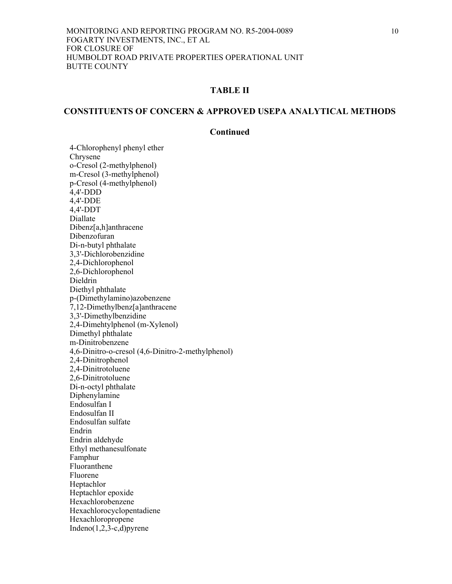# **CONSTITUENTS OF CONCERN & APPROVED USEPA ANALYTICAL METHODS**

## **Continued**

 4-Chlorophenyl phenyl ether Chrysene o-Cresol (2-methylphenol) m-Cresol (3-methylphenol) p-Cresol (4-methylphenol) 4,4'-DDD 4,4'-DDE 4,4'-DDT Diallate Dibenz[a,h]anthracene Dibenzofuran Di-n-butyl phthalate 3,3'-Dichlorobenzidine 2,4-Dichlorophenol 2,6-Dichlorophenol Dieldrin Diethyl phthalate p-(Dimethylamino)azobenzene 7,12-Dimethylbenz[a]anthracene 3,3'-Dimethylbenzidine 2,4-Dimehtylphenol (m-Xylenol) Dimethyl phthalate m-Dinitrobenzene 4,6-Dinitro-o-cresol (4,6-Dinitro-2-methylphenol) 2,4-Dinitrophenol 2,4-Dinitrotoluene 2,6-Dinitrotoluene Di-n-octyl phthalate Diphenylamine Endosulfan I Endosulfan II Endosulfan sulfate Endrin Endrin aldehyde Ethyl methanesulfonate Famphur Fluoranthene Fluorene Heptachlor Heptachlor epoxide Hexachlorobenzene Hexachlorocyclopentadiene **Hexachloropropene** Indeno $(1,2,3-c,d)$  pyrene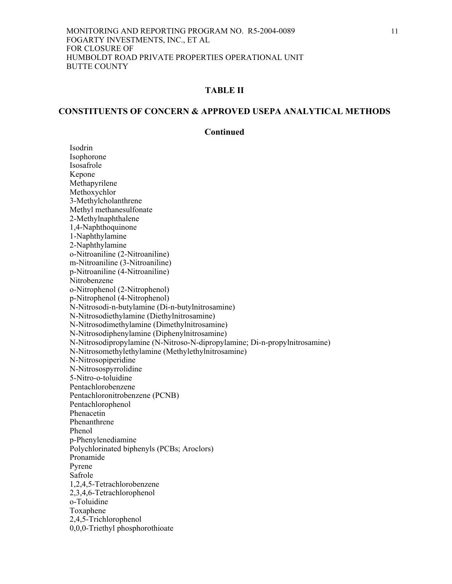## **CONSTITUENTS OF CONCERN & APPROVED USEPA ANALYTICAL METHODS**

## **Continued**

 Isodrin Isophorone Isosafrole Kepone Methapyrilene Methoxychlor 3-Methylcholanthrene Methyl methanesulfonate 2-Methylnaphthalene 1,4-Naphthoquinone 1-Naphthylamine 2-Naphthylamine o-Nitroaniline (2-Nitroaniline) m-Nitroaniline (3-Nitroaniline) p-Nitroaniline (4-Nitroaniline) Nitrobenzene o-Nitrophenol (2-Nitrophenol) p-Nitrophenol (4-Nitrophenol) N-Nitrosodi-n-butylamine (Di-n-butylnitrosamine) N-Nitrosodiethylamine (Diethylnitrosamine) N-Nitrosodimethylamine (Dimethylnitrosamine) N-Nitrosodiphenylamine (Diphenylnitrosamine) N-Nitrosodipropylamine (N-Nitroso-N-dipropylamine; Di-n-propylnitrosamine) N-Nitrosomethylethylamine (Methylethylnitrosamine) N-Nitrosopiperidine N-Nitrosospyrrolidine 5-Nitro-o-toluidine Pentachlorobenzene Pentachloronitrobenzene (PCNB) Pentachlorophenol Phenacetin Phenanthrene Phenol p-Phenylenediamine Polychlorinated biphenyls (PCBs; Aroclors) Pronamide Pyrene Safrole 1,2,4,5-Tetrachlorobenzene 2,3,4,6-Tetrachlorophenol o-Toluidine Toxaphene 2,4,5-Trichlorophenol 0,0,0-Triethyl phosphorothioate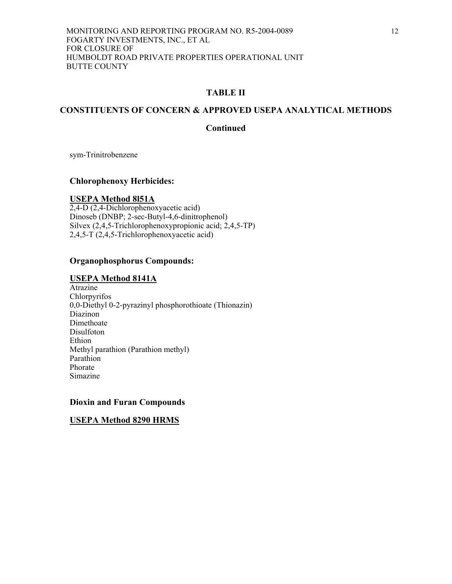# **CONSTITUENTS OF CONCERN & APPROVED USEPA ANALYTICAL METHODS**

## **Continued**

sym-Trinitrobenzene

## **Chlorophenoxy Herbicides:**

## **USEPA Method 8l51A**

2,4-D (2,4-Dichlorophenoxyacetic acid) Dinoseb (DNBP; 2-sec-Butyl-4,6-dinitrophenol) Silvex (2,4,5-Trichlorophenoxypropionic acid; 2,4,5-TP) 2,4,5-T (2,4,5-Trichlorophenoxyacetic acid)

## **Organophosphorus Compounds:**

## **USEPA Method 8141A**

**Atrazine** Chlorpyrifos 0,0-Diethyl 0-2-pyrazinyl phosphorothioate (Thionazin) Diazinon Dimethoate Disulfoton Ethion Methyl parathion (Parathion methyl) Parathion Phorate Simazine

## **Dioxin and Furan Compounds**

## **USEPA Method 8290 HRMS**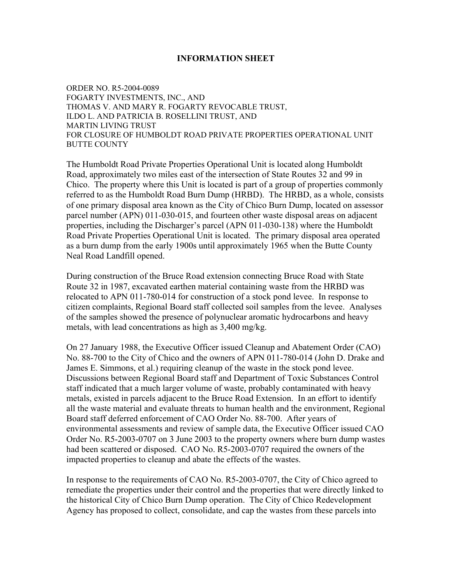## **INFORMATION SHEET**

ORDER NO. R5-2004-0089 FOGARTY INVESTMENTS, INC., AND THOMAS V. AND MARY R. FOGARTY REVOCABLE TRUST, ILDO L. AND PATRICIA B. ROSELLINI TRUST, AND MARTIN LIVING TRUST FOR CLOSURE OF HUMBOLDT ROAD PRIVATE PROPERTIES OPERATIONAL UNIT BUTTE COUNTY

The Humboldt Road Private Properties Operational Unit is located along Humboldt Road, approximately two miles east of the intersection of State Routes 32 and 99 in Chico. The property where this Unit is located is part of a group of properties commonly referred to as the Humboldt Road Burn Dump (HRBD). The HRBD, as a whole, consists of one primary disposal area known as the City of Chico Burn Dump, located on assessor parcel number (APN) 011-030-015, and fourteen other waste disposal areas on adjacent properties, including the Discharger's parcel (APN 011-030-138) where the Humboldt Road Private Properties Operational Unit is located. The primary disposal area operated as a burn dump from the early 1900s until approximately 1965 when the Butte County Neal Road Landfill opened.

During construction of the Bruce Road extension connecting Bruce Road with State Route 32 in 1987, excavated earthen material containing waste from the HRBD was relocated to APN 011-780-014 for construction of a stock pond levee. In response to citizen complaints, Regional Board staff collected soil samples from the levee. Analyses of the samples showed the presence of polynuclear aromatic hydrocarbons and heavy metals, with lead concentrations as high as 3,400 mg/kg.

On 27 January 1988, the Executive Officer issued Cleanup and Abatement Order (CAO) No. 88-700 to the City of Chico and the owners of APN 011-780-014 (John D. Drake and James E. Simmons, et al.) requiring cleanup of the waste in the stock pond levee. Discussions between Regional Board staff and Department of Toxic Substances Control staff indicated that a much larger volume of waste, probably contaminated with heavy metals, existed in parcels adjacent to the Bruce Road Extension. In an effort to identify all the waste material and evaluate threats to human health and the environment, Regional Board staff deferred enforcement of CAO Order No. 88-700. After years of environmental assessments and review of sample data, the Executive Officer issued CAO Order No. R5-2003-0707 on 3 June 2003 to the property owners where burn dump wastes had been scattered or disposed. CAO No. R5-2003-0707 required the owners of the impacted properties to cleanup and abate the effects of the wastes.

In response to the requirements of CAO No. R5-2003-0707, the City of Chico agreed to remediate the properties under their control and the properties that were directly linked to the historical City of Chico Burn Dump operation. The City of Chico Redevelopment Agency has proposed to collect, consolidate, and cap the wastes from these parcels into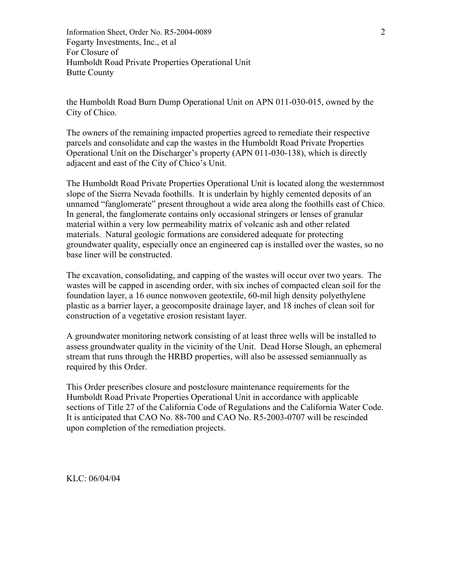Information Sheet, Order No. R5-2004-0089 2 Fogarty Investments, Inc., et al For Closure of Humboldt Road Private Properties Operational Unit Butte County

the Humboldt Road Burn Dump Operational Unit on APN 011-030-015, owned by the City of Chico.

The owners of the remaining impacted properties agreed to remediate their respective parcels and consolidate and cap the wastes in the Humboldt Road Private Properties Operational Unit on the Discharger's property (APN 011-030-138), which is directly adjacent and east of the City of Chico's Unit.

The Humboldt Road Private Properties Operational Unit is located along the westernmost slope of the Sierra Nevada foothills. It is underlain by highly cemented deposits of an unnamed "fanglomerate" present throughout a wide area along the foothills east of Chico. In general, the fanglomerate contains only occasional stringers or lenses of granular material within a very low permeability matrix of volcanic ash and other related materials. Natural geologic formations are considered adequate for protecting groundwater quality, especially once an engineered cap is installed over the wastes, so no base liner will be constructed.

The excavation, consolidating, and capping of the wastes will occur over two years. The wastes will be capped in ascending order, with six inches of compacted clean soil for the foundation layer, a 16 ounce nonwoven geotextile, 60-mil high density polyethylene plastic as a barrier layer, a geocomposite drainage layer, and 18 inches of clean soil for construction of a vegetative erosion resistant layer.

A groundwater monitoring network consisting of at least three wells will be installed to assess groundwater quality in the vicinity of the Unit. Dead Horse Slough, an ephemeral stream that runs through the HRBD properties, will also be assessed semiannually as required by this Order.

This Order prescribes closure and postclosure maintenance requirements for the Humboldt Road Private Properties Operational Unit in accordance with applicable sections of Title 27 of the California Code of Regulations and the California Water Code. It is anticipated that CAO No. 88-700 and CAO No. R5-2003-0707 will be rescinded upon completion of the remediation projects.

KLC: 06/04/04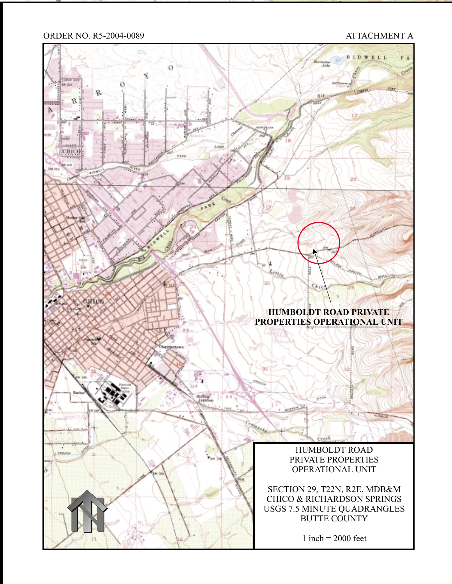## ORDER NO. R5-2004-0089 ATTACHMENT A

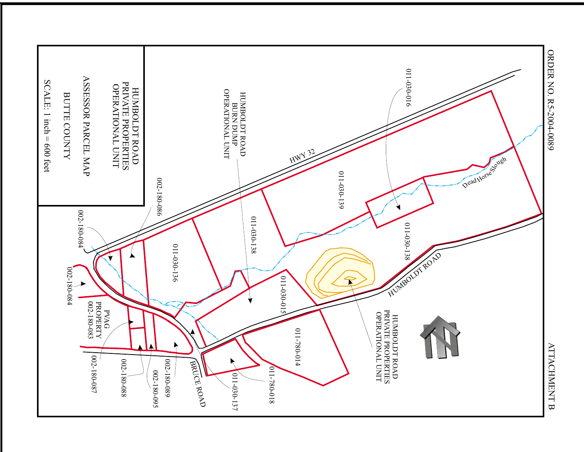